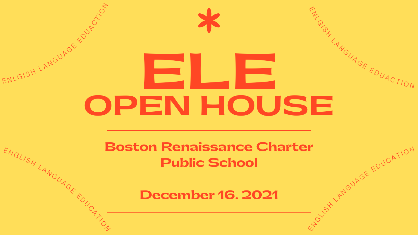# **ELE OPEN HOUSE** ENLGISH LANGUAGE EDUPOL

**Boston Renaissance Charter Public School** WGLISH LANGUAGE EDUCATION

**December 16. 2021**

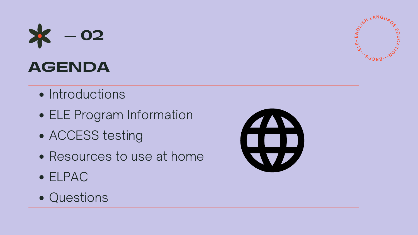- Introductions
- ELE Program Information
- ACCESS testing
- Resources to use at home
- ELPAC
- Questions





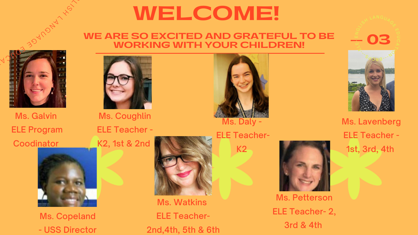## **WELCOME!**

### **WE ARE SO EXCITED AND GRATEFUL TO BE WORKING WITH YOUR CHILDREN!**



Ms. Galvin ELE Program **Coodinator** 





Ms. Coughlin ELE Teacher - K2, 1st & 2nd

Ms. Petterson ELE Teacher- 2, 3rd & 4th



Ms. Watkins ELE Teacher-2nd,4th, 5th & 6th

Ms. Copeland - USS Director







ELE Teacher-K2



 $\sim$ 

 $\overrightarrow{S}$  $\lambda$ 

> Ms. Lavenberg ELE Teacher - 1st, 3rd, 4th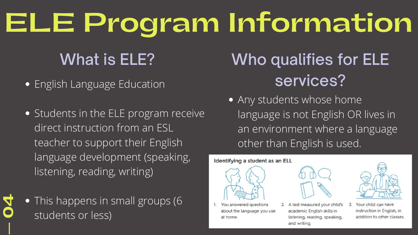- **•** English Language Education
- **•** Students in the ELE program receive direct instruction from an ESL teacher to support their English language development (speaking, listening, reading, writing)
- This happens in small groups (6 students or less) **— 04**

### Identifying a student as an ELL

- 
- You answered questions about the language you use at home.

# **ELE Program Information**

### What is ELE?

Any students whose home language is not English OR lives in an environment where a language other than English is used.





2. A test measured your child's academic English skills in listening, reading, speaking, and writing.



Your child can have 3. instruction in English, in addition to other classes.

## Who qualifies for ELE services?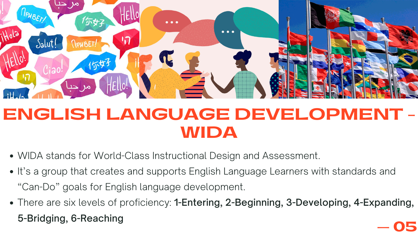



### **ENGLISH LANGUAGE DEVELOPMENT - WIDA**

- WIDA stands for World-Class Instructional Design and Assessment.
- It's a group that creates and supports English Language Learners with standards and "Can-Do" goals for English language development.
- There are six levels of proficiency: 1-Entering, 2-Beginning, 3-Developing, 4-Expanding, 5-Bridging, 6-Reaching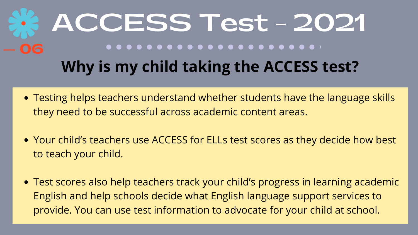- Testing helps teachers understand whether students have the language skills they need to be successful across academic content areas.
- Your child's teachers use ACCESS for ELLs test scores as they decide how best to teach your child.
- Test scores also help teachers track your child's progress in learning academic English and help schools decide what English language support services to provide. You can use test information to advocate for your child at school.

## **ACCESS Test - 2021 Why is my child taking the ACCESS test?**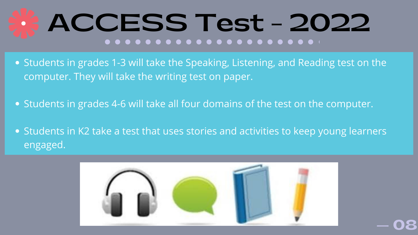- Students in grades 1-3 will take the Speaking, Listening, and Reading test on the computer. They will take the writing test on paper.
- Students in grades 4-6 will take all four domains of the test on the computer.
- Students in K2 take a test that uses stories and activities to keep young learners engaged.



# **ACCESS Test - 2022**

**— 08**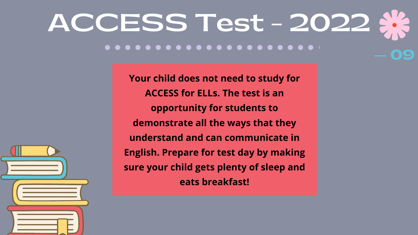**Your child does not need to study for ACCESS for ELLs. The test is an opportunity for students to demonstrate all the ways that they understand and can communicate in English. Prepare for test day by making sure your child gets plenty of sleep and eats breakfast!**



### **ACCESS Test - 2022** . . . . . . . . . . . . . . . . . . . **— 09**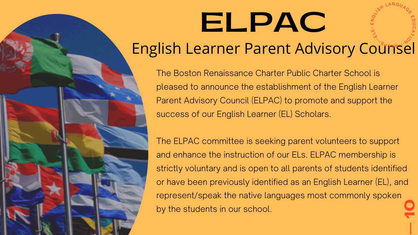### English Learner Parent Advisory Counsel  $S_{\alpha}$

The Boston Renaissance Charter Public Charter School is pleased to announce the establishment of the English Learner Parent Advisory Council (ELPAC) to promote and support the success of our English Learner (EL) Scholars.

**— 10** The ELPAC committee is seeking parent volunteers to support and enhance the instruction of our ELs. ELPAC membership is strictly voluntary and is open to all parents of students identified or have been previously identified as an English Learner (EL), and represent/speak the native languages most commonly spoken by the students in our school.

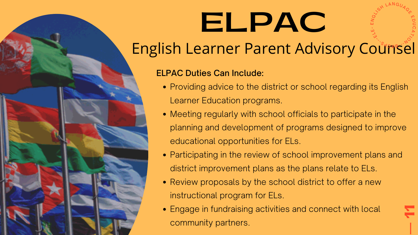### English Learner Parent Advisory Counsel

**— 11**

- Providing advice to the district or school regarding its English Learner Education programs.
- Meeting regularly with school officials to participate in the planning and development of programs designed to improve educational opportunities for ELs.
- Participating in the review of school improvement plans and district improvement plans as the plans relate to ELs.
- Review proposals by the school district to offer a new instructional program for ELs.
- Engage in fundraising activities and connect with local community partners.

### ELPAC Duties Can Include:

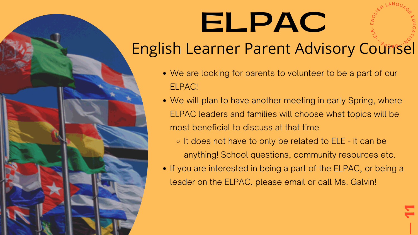**— 11**

### **ELPAC**  $\mathbf \mu$ NG**USH LANGUAGE**  ${\bf \Psi}$ D  $\mathbf C$  $\Omega$  $\overline{\mathcal{X}}$  $\overrightarrow{O}$ ---EL ىن

### English Learner Parent Advisory Counsel  $S_{\alpha}$

- We are looking for parents to volunteer to be a part of our ELPAC!
- We will plan to have another meeting in early Spring, where ELPAC leaders and families will choose what topics will be most beneficial to discuss at that time o It does not have to only be related to ELE - it can be anything! School questions, community resources etc. • If you are interested in being a part of the ELPAC, or being a leader on the ELPAC, please email or call Ms. Galvin!
	-
- 
-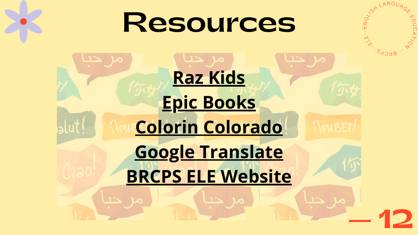

# **Resources**

# **[Raz Kids](https://www.kidsa-z.com/main/Login?_ga=2.41528801.2101759131.1608141929-2128289549.1587921335) [Epic Books](https://www.getepic.com/) [Colorin Colorado](https://www.colorincolorado.org/) [Google Translate](https://translate.google.com/) [BRCPS ELE Website](https://sites.google.com/brcps.school/esl/home)**